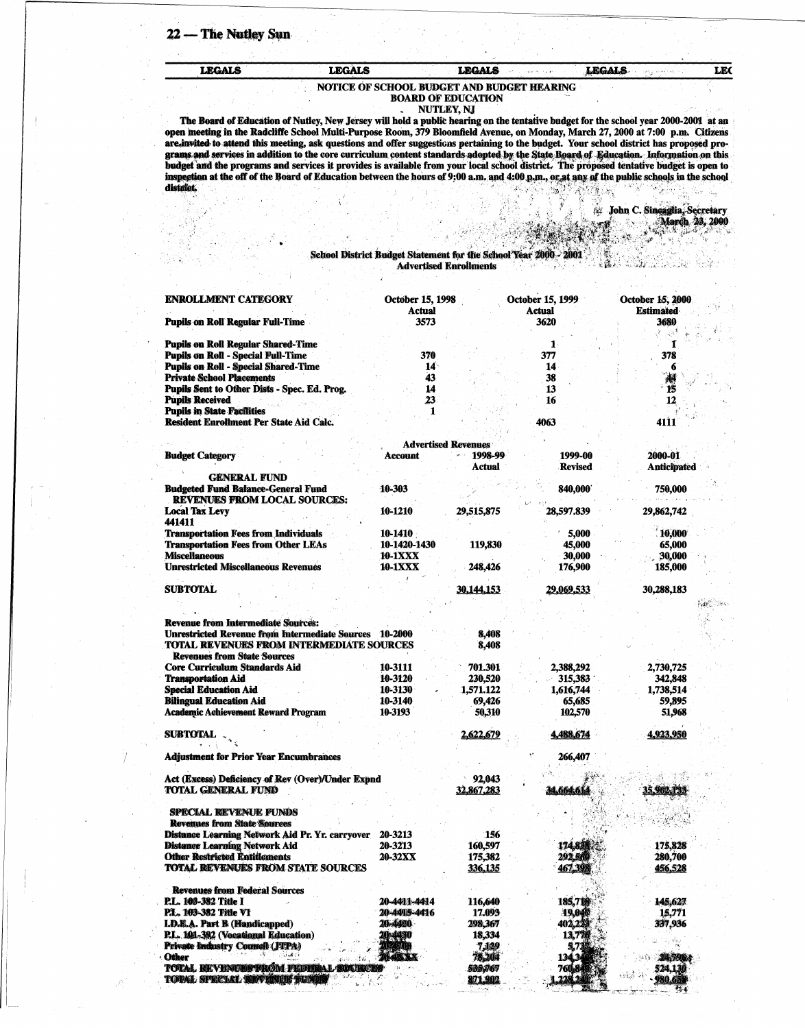22 - The Nutley Sun

**LEGALS** 

## **LEGALS LEGALS LEGALS** NOTICE OF SCHOOL BUDGET AND BUDGET HEARING

## **BOARD OF EDUCATION**

NUTLEY, NJ

The Board of Education of Nutley, New Jersey will hold a public hearing on the tentative budget for the school year 2000-2001 at an open meeting in the Radcliffe School Multi-Purpose Room, 379 Bloomfield Avenue, on Monday, March 27, 2000 at 7:00 p.m. Citizens are invited to attend this meeting, ask questions and offer suggesticas pertaining to the budg grams and services in addition to the core curriculum content standards adopted by the State Board of Education. Information on this budget and the programs and services it provides is available from your local school dist inspection at the off of the Board of Education between the hours of 9:00 a.m. and 4:00 p.m., or at any of the public schools in the school district.

> 4 John C. Sineaglia, Secretary March 23, 2000

E

"天" 的

## $\frac{1}{2}$

**LEC** 

## School District Budget Statement for the School Year 2000 - 2001 **Advertised Enrollments**

| <b>ENROLLMENT CATEGORY</b>                                                                          | <b>October 15, 1998</b><br>Actual |                            | October 15, 1999<br>Actual | October 15, 2000<br><b>Estimated</b> |
|-----------------------------------------------------------------------------------------------------|-----------------------------------|----------------------------|----------------------------|--------------------------------------|
| <b>Pupils on Roll Regular Full-Time</b>                                                             | 3573                              |                            | 3620                       | 3680                                 |
| <b>Pupils on Roll Regular Shared-Time</b>                                                           |                                   |                            | 1                          | $\mathcal{A}^{\mathcal{A}}$<br>¥.    |
| <b>Pupils on Roll - Special Full-Time</b>                                                           | 370                               |                            | 377                        | 378                                  |
| <b>Pupils on Roll - Special Shared-Time</b>                                                         | $14^{\circ}$                      |                            | 14                         | 6                                    |
| <b>Private School Placements</b>                                                                    | 43                                |                            |                            |                                      |
|                                                                                                     |                                   |                            | 38                         | 檲                                    |
| <b>Pupils Sent to Other Dists - Spec. Ed. Prog.</b>                                                 | 14                                |                            | 13                         | 15                                   |
| <b>Pupils Received</b>                                                                              | 23                                |                            | 16                         | 12                                   |
| <b>Pupils in State Facilities</b>                                                                   | 1                                 |                            |                            |                                      |
| <b>Resident Enrollment Per State Aid Calc.</b>                                                      |                                   |                            | 4063                       | 4111                                 |
|                                                                                                     |                                   | <b>Advertised Revenues</b> |                            |                                      |
| <b>Budget Category</b>                                                                              | Account                           | 1998-99                    | 1999-00                    | 2000-01                              |
|                                                                                                     |                                   | Actual                     | <b>Revised</b>             | <b>Anticipated</b>                   |
| <b>GENERAL FUND</b>                                                                                 |                                   |                            |                            |                                      |
| <b>Budgeted Fund Balance-General Fund</b>                                                           | 10 303                            |                            | 840,000                    | 750,000                              |
| <b>REVENUES FROM LOCAL SOURCES:</b>                                                                 |                                   |                            |                            |                                      |
| <b>Local Tax Levy</b>                                                                               | 10-1210                           | 29,515,875                 | 28,597.839                 |                                      |
| 441411                                                                                              |                                   |                            |                            | 29,862,742                           |
|                                                                                                     |                                   |                            |                            | 10,000                               |
| <b>Transportation Fees from Individuals</b>                                                         | 10-1410                           |                            | 5,000                      |                                      |
| <b>Transportation Fees from Other LEAs</b>                                                          | 10-1420-1430                      | 119,830                    | <b>45,000</b>              | 65,000                               |
| <b>Miscellaneous</b>                                                                                | <b>10-1XXX</b>                    |                            | 30,000                     | 30,000                               |
| <b>Unrestricted Miscellaneous Revenues</b>                                                          | 10-1XXX                           | 248,426                    | 176,900                    | 185,000                              |
| <b>SUBTOTAL</b>                                                                                     |                                   | <u>30,144,153</u>          | <u>29,069,533</u>          | 30,288,183                           |
|                                                                                                     |                                   |                            |                            |                                      |
|                                                                                                     |                                   |                            |                            |                                      |
| <b>Revenue from Intermediate Sources:</b><br>Unrestricted Revenue from Intermediate Sources 10-2000 |                                   | 8,408                      |                            |                                      |
| <b>TOTAL REVENUES FROM INTERMEDIATE SOURCES</b><br><b>Revenues from State Sources</b>               |                                   | 8,408                      |                            |                                      |
| <b>Core Curriculum Standards Aid</b>                                                                | 10-3111                           | 701.301                    | 2,388,292                  | 2,730,725                            |
| <b>Transportation Aid</b>                                                                           | 10-3120                           | <b>230,520</b>             | 315,383                    | 342,848                              |
| <b>Special Education Aid</b>                                                                        | 10-3130                           | 1,571.122                  | 1,616,744                  | 1,738,514                            |
| <b>Bilingual Education Aid</b>                                                                      | 10-3140                           | 69,426                     | 65,685                     | 59,895                               |
| <b>Academic Achievement Reward Program</b>                                                          | 10-3193                           | 50,310                     | 102,570                    | 51,968                               |
| <b>SUBTOTAL</b>                                                                                     |                                   | 2,622,679                  | 4,488,674                  | 4.923.950                            |
|                                                                                                     |                                   |                            |                            |                                      |
|                                                                                                     |                                   |                            |                            |                                      |
| <b>Adjustment for Prior Year Encumbrances</b>                                                       |                                   |                            | 266,407                    |                                      |
| Act (Excess) Deficiency of Rev (Over)/Under Expnd                                                   |                                   | 92,043                     |                            |                                      |
| TOTAL GENERAL FUND                                                                                  |                                   | 32,867,283                 | 34,664,614                 | 35.962.132                           |
|                                                                                                     |                                   |                            |                            |                                      |
| <b>SPECIAL REVENUE FUNDS</b>                                                                        |                                   |                            |                            |                                      |
| <b>Revenues from State Sources</b>                                                                  |                                   |                            |                            |                                      |
| Distance Learning Network Aid Pr. Yr. carryover                                                     | 20-3213                           | 156                        |                            |                                      |
| <b>Distance Learning Network Aid</b>                                                                | 20-3213                           | 160,597                    | 174,831                    | 175,828                              |
| <b>Other Restricted Entitlements</b>                                                                | <b>20-32XX</b>                    | 175,382                    | 292.5A                     | <b>280,700</b>                       |
| <b>TOTAL REVENUES FROM STATE SOURCES</b>                                                            |                                   | 336,135                    | 467,398                    | 456,528                              |
| <b>Revenues from Federal Sources</b>                                                                |                                   |                            |                            |                                      |
|                                                                                                     |                                   |                            |                            |                                      |
| <b>P.L. 103-382 Title I</b>                                                                         | 20-4411-4414                      | 116,640                    | 185,718                    | 145,627                              |
| P.L. 103-382 Title VI                                                                               | 20-4415-4416                      | 17.093                     | 19,0億                      | 15,771                               |
| <b>I.D.E.A. Part B (Handicapped)</b>                                                                | 20-4420                           | 298,367                    | 402,223                    | 337,936                              |
| P.L. 101-392 (Vocational Education)                                                                 | 20-4480                           | 18,334                     | 13,776                     |                                      |
| Private Industry Council (JTPA)                                                                     | AE MA                             | 7,129                      | 5,73                       |                                      |
| تتلهبان<br><b>Other</b>                                                                             |                                   | 78,204                     | 134,34                     | 24,7964                              |
| <b>TOTAL REVENUES PROM FEDBRAL SOURCHS</b>                                                          |                                   | 535,767                    | 760,8                      | 524,130                              |
| 938 P<br>TODAT, SPRENCE QUINTING THE TIME !!                                                        |                                   | 271.902                    | 228.24                     | - 680.75                             |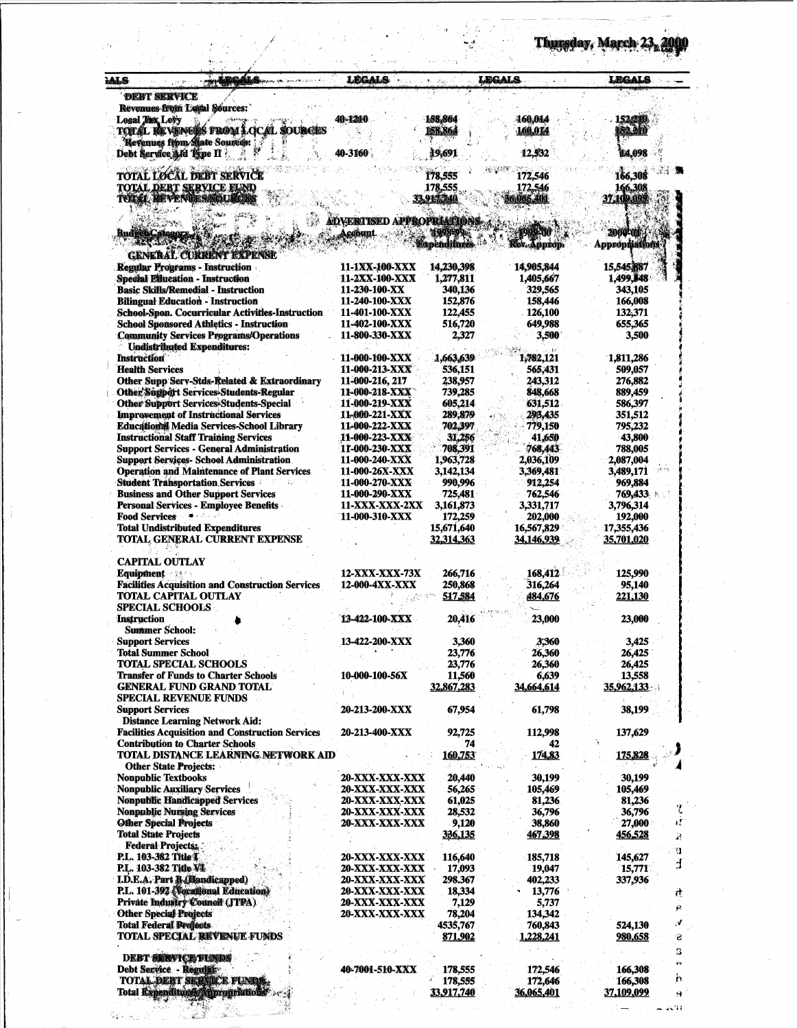| LDCALS<br><b>ALS</b><br><b>DERT SERVICE</b>                                                      | legals                                  | برایت به ب                   | LEGALS                  | LEGALS                  |
|--------------------------------------------------------------------------------------------------|-----------------------------------------|------------------------------|-------------------------|-------------------------|
| <b>Revenues from Local Sources:</b>                                                              |                                         |                              |                         |                         |
| <b>Logal This Levy</b>                                                                           | 40-1210                                 | 158,864                      | <b>160,014</b>          | 1523210                 |
| <b>TOTAL REVENUES FROM LOCAL SOURCES</b>                                                         |                                         | 158,864                      | 160.014                 | 152.211                 |
| Revenues from State Sources:<br>Debt Service 3 id Type II                                        | 40-3160                                 | 19,691                       | 12,532                  | 114,098                 |
|                                                                                                  |                                         |                              |                         |                         |
| <b>TOTAL LOCAL DEBT SERVICE</b>                                                                  |                                         | 178.555                      | 172,546                 | 166,308                 |
| <b>TOTAL DEBT SERVICE FUND</b>                                                                   |                                         | 178,555                      | 172,546                 | 166,308                 |
| TOTAL REVENUES/SOURCE                                                                            |                                         | 33.914.740                   | 6,065,401               | 37,109,099              |
|                                                                                                  | <b>ADVERTISED APPROPRIATIONS</b>        |                              |                         |                         |
| <b>Budget Category,</b>                                                                          | <b>Account</b>                          | 1998-99                      | 1999-710                | 2000-018                |
| <b>THE TIME AS</b>                                                                               |                                         | <b>Expenditures</b>          | Rev. Approp.            | Appropriations          |
| <b>GENERAL CURRENT EXPENSE</b>                                                                   |                                         |                              |                         |                         |
| <b>Regular Programs - Instruction</b><br>Special Education - Instruction                         | 11-1XX-100-XXX<br><b>11-2XX-100-XXX</b> | 14,230,398<br>1,277,811      | 14,905,844<br>1,405,667 | 15,545,887<br>1,499,348 |
| <b>Basic Skills/Remedial - Instruction</b>                                                       | 11-230-100-XX                           | 340,136                      | 329,565                 | 343,105                 |
| <b>Bilingual Education - Instruction</b>                                                         | 11-240-100-XXX                          | 152,876                      | 158,446                 | 166,008                 |
| School-Spon. Cocurricular Activities-Instruction                                                 | 11-401-100-XXX                          | 122,455                      | 126,100                 | 132,371                 |
| <b>School Sponsored Athletics - Instruction</b>                                                  | 11-402-100-XXX                          | 516,720                      | 649,988                 | 655,365                 |
| <b>Community Services Programs/Operations</b><br><b>Undistributed Expenditures:</b>              | 11-800-330-XXX                          | 2,327                        | 3,500                   | 3,500                   |
| <b>Instruction</b>                                                                               | 11-000-100-XXX                          | 1,663,639                    | 1,782,121               | 1,811,286               |
| <b>Health Services</b>                                                                           | 11-000-213-XXX                          | 536,151                      | 565,431                 | 509,057                 |
| Other Supp Serv-Stds-Related & Extraordinary                                                     | 11-000-216, 217                         | 238,957                      | 243,312                 | 276,882                 |
| Other Support Services-Students-Regular                                                          | 11-000-218-XXX                          | 739,285                      | 848,668                 | 889,459                 |
| <b>Other Support Services-Students-Special</b>                                                   | 11-000-219-XXX                          | 605,214                      | 631,512                 | 586,397                 |
| <b>Improvement of Instructional Services</b><br><b>Educational Media Services-School Library</b> | 11-000-221-XXX<br>11-000-222-XXX        | 289,879<br>702,397           | 293,435<br>779,150      | 351,512<br>795,232      |
| <b>Instructional Staff Training Services</b>                                                     | <b>11-000-223-XXX</b>                   | 31,256                       | 41,650                  | 43,800                  |
| <b>Support Services - General Administration</b>                                                 | 11-000-230-XXX                          | 708,391                      | 768,443                 | 788,005                 |
| <b>Support Services- School Administration</b>                                                   | 11-000-240-XXX                          | 1,963,728                    | 2,036,109               | 2,087,004               |
| <b>Operation and Maintenance of Plant Services</b>                                               | 11-000-26X-XXX                          | 3,142,134                    | 3,369,481               | 3,489,171               |
| <b>Student Transportation Services</b><br>43<br><b>Business and Other Support Services</b>       | 11-000-270-XXX<br>11-000-290-XXX        | 990,996<br>725,481           | 912,254<br>762,546      | 969,884<br>769,433      |
| <b>Personal Services - Employee Benefits -</b>                                                   | 11-XXX-XXX-2XX                          | 3,161,873                    | 3,331,717               | 3,796,314               |
| <b>Food Services</b>                                                                             | 11-000-310-XXX                          | 172,259                      | 202,000                 | 192,000                 |
| <b>Total Undistributed Expenditures</b>                                                          |                                         | 15,671,640                   | 16,567,829              | 17,355,436              |
| <b>TOTAL GENERAL CURRENT EXPENSE</b>                                                             |                                         | 32,314,363                   | <u>34,146,939 </u>      | 35,701,020              |
| <b>CAPITAL OUTLAY</b>                                                                            |                                         |                              |                         |                         |
| <b>Equipment</b>                                                                                 | 12-XXX-XXX-73X                          | 266,716                      | 168,412                 | 125,990                 |
| <b>Facilities Acquisition and Construction Services</b>                                          | 12-000-4XX-XXX                          | 250,868                      | 316,264                 | 95,140                  |
| <b>TOTAL CAPITAL OUTLAY</b>                                                                      |                                         | 517,584                      | 484,676                 | 221,130                 |
| <b>SPECIAL SCHOOLS</b>                                                                           |                                         |                              |                         |                         |
| Instruction<br><b>Summer School:</b>                                                             | 13-422-100-XXX                          | 20,416                       | 23,000                  | 23,000                  |
| <b>Support Services</b>                                                                          | 13-422-200-XXX                          | 3,360                        | 3,360                   | 3,425                   |
| <b>Total Summer School</b>                                                                       |                                         | 23,776                       | 26,360                  | 26,425                  |
| <b>TOTAL SPECIAL SCHOOLS</b>                                                                     |                                         | 23,776                       | 26,360                  | 26,425                  |
| <b>Transfer of Funds to Charter Schools</b>                                                      | 10-000-100-56X                          | 11,560                       | 6,639                   | 13,558                  |
| <b>GENERAL FUND GRAND TOTAL</b><br><b>SPECIAL REVENUE FUNDS</b>                                  |                                         | 32,867,283                   | <u>34,664,614</u>       | 35,962,133              |
| <b>Support Services</b>                                                                          | <b>20-213-200-XXX</b>                   | 67,954                       | 61,798                  | 38,199                  |
| <b>Distance Learning Network Aid:</b>                                                            |                                         |                              |                         |                         |
| <b>Facilities Acquisition and Construction Services</b>                                          | 20-213-400-XXX                          | 92,725                       | 112,998                 | 137,629                 |
| <b>Contribution to Charter Schools</b>                                                           |                                         | 74                           | 42                      |                         |
| TOTAL DISTANCE LEARNING NETWORK AID                                                              |                                         | 160,753                      | 174,83                  | 175,828                 |
| <b>Other State Projects:</b><br><b>Nonpublic Textbooks</b>                                       | 20-XXX-XXX-XXX                          | 20,440                       | 30,199                  | 30,199                  |
| <b>Nonpublic Auxiliary Services</b>                                                              | 20-XXX-XXX-XXX                          | 56,265                       | 105,469                 | 105,469                 |
| <b>Nonpublic Handicapped Services</b>                                                            | 20-XXX-XXX-XXX                          | 61,025                       | 81,236                  | 81,236                  |
| <b>Nonpublic Nursing Services</b>                                                                | 20-XXX-XXX-XXX                          | 28,532                       | 36,796                  | 36,796                  |
| <b>Other Special Projects</b>                                                                    | 20-XXX-XXX-XXX                          | 9,120                        | 38,860                  | ŧΙ<br>27,000            |
| <b>Total State Projects</b><br><b>Federal Projects.</b>                                          |                                         | 336,135                      | 467,398                 | <u>456,528</u><br>退     |
| <b>P.L. 103-382 Title L</b>                                                                      | 20-XXX-XXX-XXX                          | 116,640                      | 185,718                 | ч<br>145,627            |
| <b>P.L. 103-382 Title VI</b>                                                                     | <b>20-XXX-XXX-XXX</b>                   | 17,093                       | 19,047                  | 4<br>15,771             |
| I.D.E.A. Part B. (Handicapped)                                                                   | 20-XXX-XXX-XXX                          | 298.367                      | 402,233                 | 337,936                 |
| P.L. 101-392 (Vocational Education)                                                              | 20-XXX-XXX-XXX                          | 18,334                       | 13,776                  | ij,                     |
| Private Industry Council (JTPA)                                                                  | 20-XXX-XXX-XXX                          | 7,129                        | 5,737                   | R                       |
| <b>Other Special Projects</b><br><b>Total Federal Profects</b>                                   | 20-XXX-XXX-XXX                          | 78,204<br>4535,767           | 134,342<br>760,843      | N<br>524,130            |
| <b>TOTAL SPECIAL REVENUE FUNDS</b>                                                               |                                         | 871,902                      | 1,228,241               | <u>980,658</u><br>ಇ     |
|                                                                                                  |                                         |                              |                         | З                       |
| <b>DEBT SERVICE FUNDS</b>                                                                        |                                         |                              |                         | ۴T                      |
| Debt Service - Regulate                                                                          | <b>40-7001-510-XXX</b>                  | 178,555                      | 172,546                 | 166,308<br>'n           |
| TOTAL DEBT SERVICE FUNDS.<br>Total Expenditure Appropriations                                    |                                         | 178,555<br><b>33,917,740</b> | 172,646<br>36,065,401   | 166,308<br>37,109,099   |
|                                                                                                  |                                         |                              |                         | 9.                      |

Ŧ